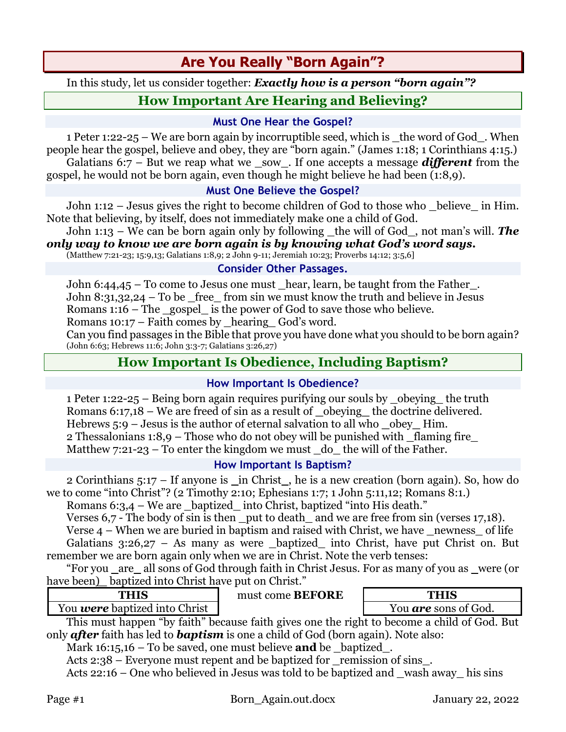# **Are You Really "Born Again"?**

In this study, let us consider together: *Exactly how is a person "born again"?*

# **How Important Are Hearing and Believing?**

#### **Must One Hear the Gospel?**

1 Peter 1:22-25 – We are born again by incorruptible seed, which is the word of God. When people hear the gospel, believe and obey, they are "born again." (James 1:18; 1 Corinthians 4:15.) Galatians 6:7 – But we reap what we sow. If one accepts a message *different* from the gospel, he would not be born again, even though he might believe he had been (1:8,9).

### **Must One Believe the Gospel?**

John 1:12 – Jesus gives the right to become children of God to those who \_believe\_ in Him. Note that believing, by itself, does not immediately make one a child of God.

John 1:13 – We can be born again only by following \_the will of God\_, not man's will. *The only way to know we are born again is by knowing what God's word says.*

(Matthew 7:21-23; 15:9,13; Galatians 1:8,9; 2 John 9-11; Jeremiah 10:23; Proverbs 14:12; 3:5,6]

#### **Consider Other Passages.**

John 6:44,45 – To come to Jesus one must \_hear, learn, be taught from the Father\_. John 8:31,32,24 – To be \_free\_ from sin we must know the truth and believe in Jesus Romans 1:16 – The \_gospel\_ is the power of God to save those who believe.

Romans 10:17 – Faith comes by \_hearing\_ God's word.

Can you find passages in the Bible that prove you have done what you should to be born again? (John 6:63; Hebrews 11:6; John 3:3-7; Galatians 3:26,27)

# **How Important Is Obedience, Including Baptism?**

### **How Important Is Obedience?**

1 Peter 1:22-25 – Being born again requires purifying our souls by \_obeying\_ the truth Romans 6:17,18 – We are freed of sin as a result of **\_**obeying**\_** the doctrine delivered. Hebrews 5:9 – Jesus is the author of eternal salvation to all who **\_**obey**\_** Him. 2 Thessalonians 1:8,9 – Those who do not obey will be punished with \_flaming fire\_ Matthew  $7:21-23$  – To enter the kingdom we must do the will of the Father.

### **How Important Is Baptism?**

2 Corinthians 5:17 – If anyone is \_in Christ\_, he is a new creation (born again). So, how do we to come "into Christ"? (2 Timothy 2:10; Ephesians 1:7; 1 John 5:11,12; Romans 8:1.)

Romans 6:3,4 – We are baptized into Christ, baptized "into His death."

Verses 6,7 - The body of sin is then \_put to death\_ and we are free from sin (verses 17,18).

Verse  $4$  – When we are buried in baptism and raised with Christ, we have newness of life Galatians  $3:26,27$  – As many as were \_baptized\_ into Christ, have put Christ on. But remember we are born again only when we are in Christ. Note the verb tenses:

"For you \_are\_ all sons of God through faith in Christ Jesus. For as many of you as \_were (or have been) baptized into Christ have put on Christ."

| 1111V |  |  |  |  |    |  |  |
|-------|--|--|--|--|----|--|--|
| --    |  |  |  |  | -- |  |  |

**THIS** must come **BEFORE THIS**

You *were* baptized into Christ  $\vert$  You **are** sons of God.

This must happen "by faith" because faith gives one the right to become a child of God. But only *after* faith has led to *baptism* is one a child of God (born again). Note also:

Mark 16:15,16 – To be saved, one must believe **and** be \_baptized\_.

Acts 2:38 – Everyone must repent and be baptized for remission of sins.

Acts 22:16 – One who believed in Jesus was told to be baptized and wash away his sins